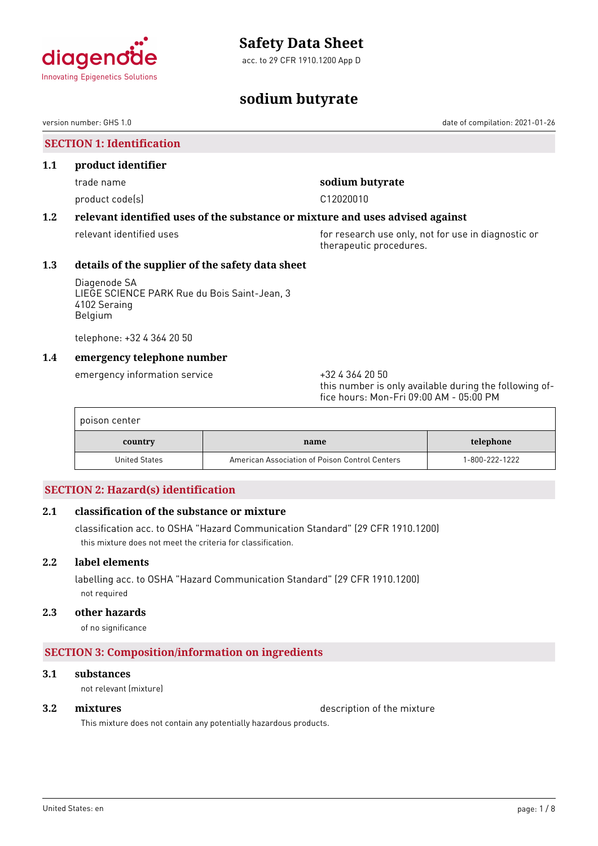

acc. to 29 CFR 1910.1200 App D

# agenc **Innovating Epigenetics Solutions**

# **sodium butyrate**

version number: GHS 1.0 date of compilation: 2021-01-26

# **SECTION 1: Identification 1.1 product identifier** trade name **sodium butyrate** product code(s) and contact code contact to contact the contact of the contact of contact to contact the contact of contact of contact of contact of contact of contact of contact of contact of contact of contact of contact **1.2 relevant identified uses of the substance or mixture and uses advised against** relevant identified uses **for research use only, not for use in diagnostic or** therapeutic procedures. **1.3 details of the supplier of the safety data sheet** Diagenode SA LIEGE SCIENCE PARK Rue du Bois Saint-Jean, 3 4102 Seraing Belgium telephone: +32 4 364 20 50

# **1.4 emergency telephone number**

emergency information service  $+3243642050$ 

this number is only available during the following office hours: Mon-Fri 09:00 AM - 05:00 PM

| poison center |                                                |                |
|---------------|------------------------------------------------|----------------|
| country       | name                                           | telephone      |
| United States | American Association of Poison Control Centers | 1-800-222-1222 |

# **SECTION 2: Hazard(s) identification**

# **2.1 classification of the substance or mixture**

classification acc. to OSHA "Hazard Communication Standard" (29 CFR 1910.1200) this mixture does not meet the criteria for classification.

# **2.2 label elements**

labelling acc. to OSHA "Hazard Communication Standard" (29 CFR 1910.1200) not required

### **2.3 other hazards**

of no significance

# **SECTION 3: Composition/information on ingredients**

# **3.1 substances**

not relevant (mixture)

**3.2 mixtures** description of the mixture

This mixture does not contain any potentially hazardous products.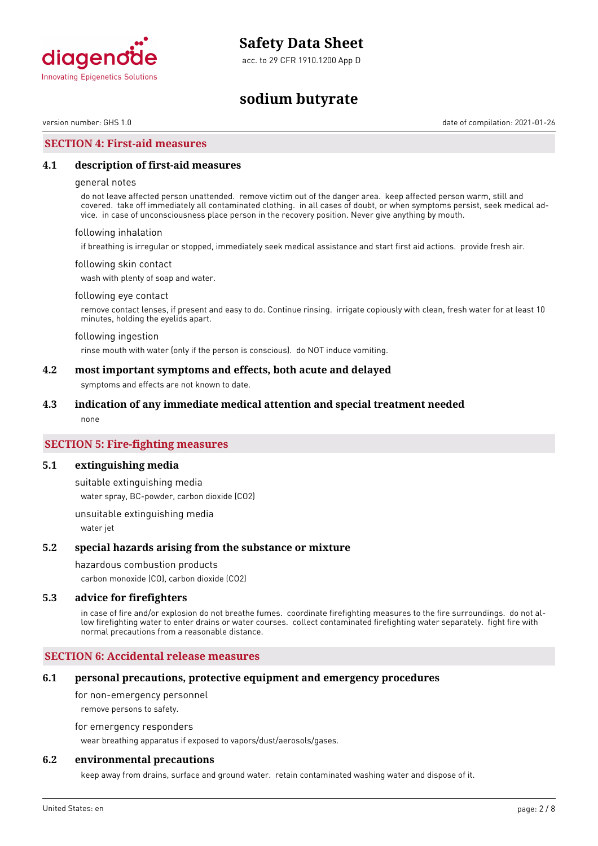

acc. to 29 CFR 1910.1200 App D

# **sodium butyrate**

version number: GHS 1.0 date of compilation: 2021-01-26

### **SECTION 4: First-aid measures**

#### **4.1 description of first-aid measures**

#### general notes

do not leave affected person unattended. remove victim out of the danger area. keep affected person warm, still and covered. take off immediately all contaminated clothing. in all cases of doubt, or when symptoms persist, seek medical advice. in case of unconsciousness place person in the recovery position. Never give anything by mouth.

#### following inhalation

if breathing is irregular or stopped, immediately seek medical assistance and start first aid actions. provide fresh air.

#### following skin contact

wash with plenty of soap and water.

#### following eye contact

remove contact lenses, if present and easy to do. Continue rinsing. irrigate copiously with clean, fresh water for at least 10 minutes, holding the eyelids apart.

#### following ingestion

rinse mouth with water (only if the person is conscious). do NOT induce vomiting.

### **4.2 most important symptoms and effects, both acute and delayed**

symptoms and effects are not known to date.

#### **4.3 indication of any immediate medical attention and special treatment needed**

none

### **SECTION 5: Fire-fighting measures**

#### **5.1 extinguishing media**

suitable extinguishing media water spray, BC-powder, carbon dioxide (CO2)

unsuitable extinguishing media water jet

#### **5.2 special hazards arising from the substance or mixture**

#### hazardous combustion products

carbon monoxide (CO), carbon dioxide (CO2)

#### **5.3 advice for firefighters**

in case of fire and/or explosion do not breathe fumes. coordinate firefighting measures to the fire surroundings. do not allow firefighting water to enter drains or water courses. collect contaminated firefighting water separately. fight fire with normal precautions from a reasonable distance.

#### **SECTION 6: Accidental release measures**

#### **6.1 personal precautions, protective equipment and emergency procedures**

for non-emergency personnel

remove persons to safety.

for emergency responders

wear breathing apparatus if exposed to vapors/dust/aerosols/gases.

### **6.2 environmental precautions**

keep away from drains, surface and ground water. retain contaminated washing water and dispose of it.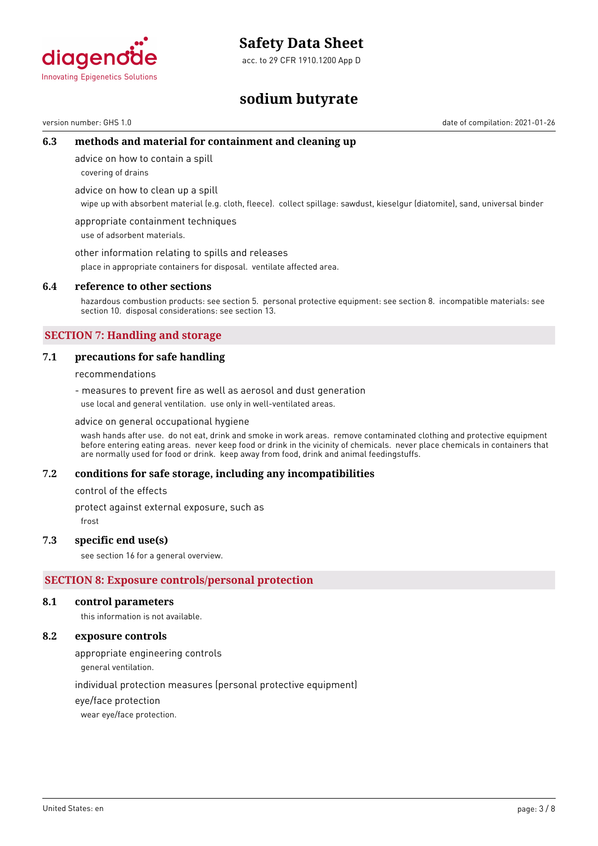acc. to 29 CFR 1910.1200 App D



# **sodium butyrate**

version number: GHS 1.0 date of compilation: 2021-01-26

# **6.3 methods and material for containment and cleaning up**

advice on how to contain a spill

covering of drains

advice on how to clean up a spill

wipe up with absorbent material (e.g. cloth, fleece). collect spillage: sawdust, kieselgur (diatomite), sand, universal binder

appropriate containment techniques use of adsorbent materials.

other information relating to spills and releases

place in appropriate containers for disposal. ventilate affected area.

### **6.4 reference to other sections**

hazardous combustion products: see section 5. personal protective equipment: see section 8. incompatible materials: see section 10. disposal considerations: see section 13.

# **SECTION 7: Handling and storage**

# **7.1 precautions for safe handling**

recommendations

- measures to prevent fire as well as aerosol and dust generation use local and general ventilation. use only in well-ventilated areas.

advice on general occupational hygiene

wash hands after use. do not eat, drink and smoke in work areas. remove contaminated clothing and protective equipment before entering eating areas. never keep food or drink in the vicinity of chemicals. never place chemicals in containers that are normally used for food or drink. keep away from food, drink and animal feedingstuffs.

# **7.2 conditions for safe storage, including any incompatibilities**

control of the effects

protect against external exposure, such as

frost

# **7.3 specific end use(s)**

see section 16 for a general overview.

# **SECTION 8: Exposure controls/personal protection**

#### **8.1 control parameters**

this information is not available.

### **8.2 exposure controls**

appropriate engineering controls

general ventilation.

individual protection measures (personal protective equipment)

eye/face protection

wear eye/face protection.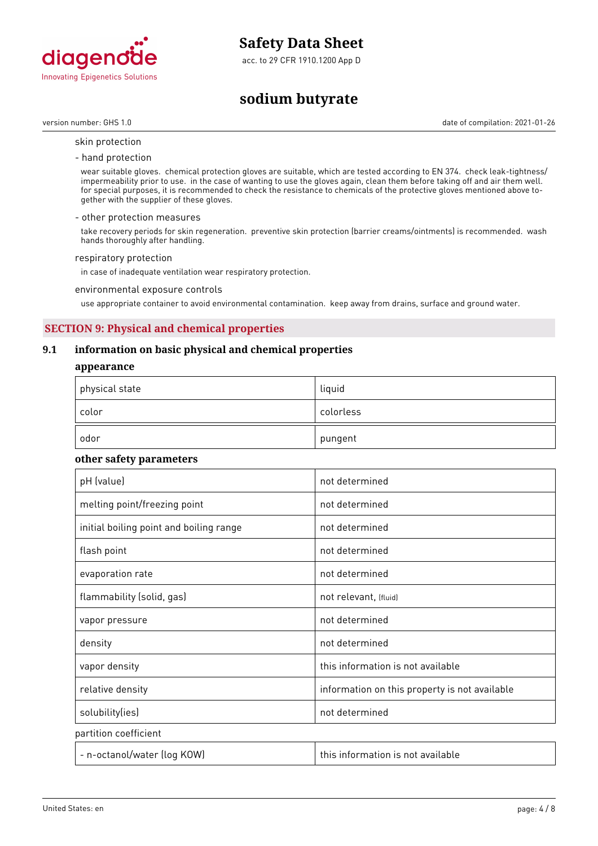

acc. to 29 CFR 1910.1200 App D

# **sodium butyrate**

version number: GHS 1.0 date of compilation: 2021-01-26

- skin protection
- hand protection

wear suitable gloves. chemical protection gloves are suitable, which are tested according to EN 374. check leak-tightness/ impermeability prior to use. in the case of wanting to use the gloves again, clean them before taking off and air them well. for special purposes, it is recommended to check the resistance to chemicals of the protective gloves mentioned above together with the supplier of these gloves.

#### - other protection measures

take recovery periods for skin regeneration. preventive skin protection (barrier creams/ointments) is recommended. wash hands thoroughly after handling.

#### respiratory protection

in case of inadequate ventilation wear respiratory protection.

environmental exposure controls

use appropriate container to avoid environmental contamination. keep away from drains, surface and ground water.

# **SECTION 9: Physical and chemical properties**

# **9.1 information on basic physical and chemical properties**

#### **appearance**

| $^\mathrm{+}$ physical state | liquid    |
|------------------------------|-----------|
| color                        | colorless |
| odor                         | pungent   |

### **other safety parameters**

| pH (value)                              | not determined                                |
|-----------------------------------------|-----------------------------------------------|
| melting point/freezing point            | not determined                                |
| initial boiling point and boiling range | not determined                                |
| flash point                             | not determined                                |
| evaporation rate                        | not determined                                |
| flammability (solid, gas)               | not relevant, (fluid)                         |
| vapor pressure                          | not determined                                |
| density                                 | not determined                                |
| vapor density                           | this information is not available             |
| relative density                        | information on this property is not available |
| solubility(ies)                         | not determined                                |
| partition coefficient                   |                                               |
| - n-octanol/water (log KOW)             | this information is not available             |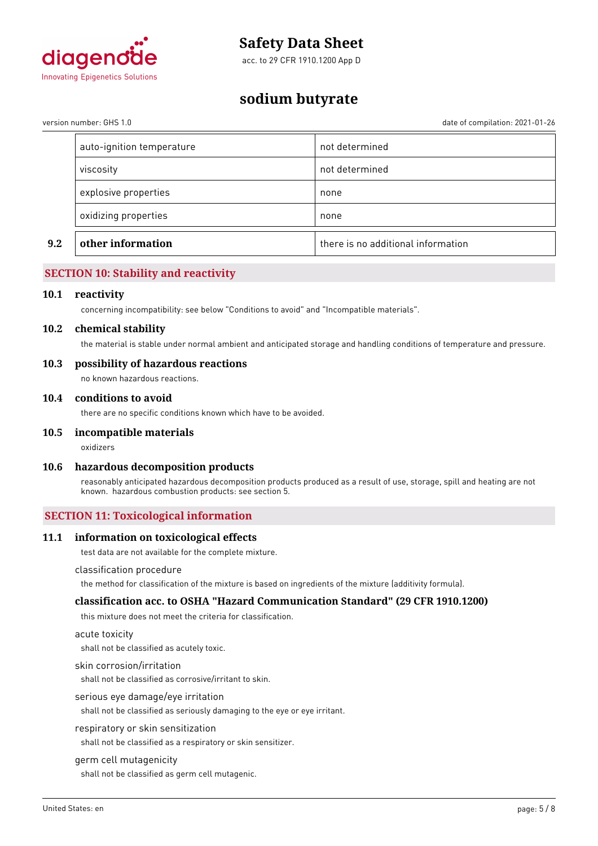

acc. to 29 CFR 1910.1200 App D

# **sodium butyrate**

version number: GHS 1.0 date of compilation: 2021-01-26

| oxidizing properties      | none           |
|---------------------------|----------------|
|                           |                |
| explosive properties      | none           |
| viscosity                 | not determined |
| auto-ignition temperature | not determined |

# **SECTION 10: Stability and reactivity**

#### **10.1 reactivity**

concerning incompatibility: see below "Conditions to avoid" and "Incompatible materials".

#### **10.2 chemical stability**

the material is stable under normal ambient and anticipated storage and handling conditions of temperature and pressure.

#### **10.3 possibility of hazardous reactions**

no known hazardous reactions.

#### **10.4 conditions to avoid**

there are no specific conditions known which have to be avoided.

#### **10.5 incompatible materials**

oxidizers

#### **10.6 hazardous decomposition products**

reasonably anticipated hazardous decomposition products produced as a result of use, storage, spill and heating are not known. hazardous combustion products: see section 5.

# **SECTION 11: Toxicological information**

#### **11.1 information on toxicological effects**

test data are not available for the complete mixture.

#### classification procedure

the method for classification of the mixture is based on ingredients of the mixture (additivity formula).

### **classification acc. to OSHA "Hazard Communication Standard" (29 CFR 1910.1200)**

this mixture does not meet the criteria for classification.

#### acute toxicity

shall not be classified as acutely toxic.

#### skin corrosion/irritation

shall not be classified as corrosive/irritant to skin.

#### serious eye damage/eye irritation

shall not be classified as seriously damaging to the eye or eye irritant.

#### respiratory or skin sensitization

shall not be classified as a respiratory or skin sensitizer.

#### germ cell mutagenicity

shall not be classified as germ cell mutagenic.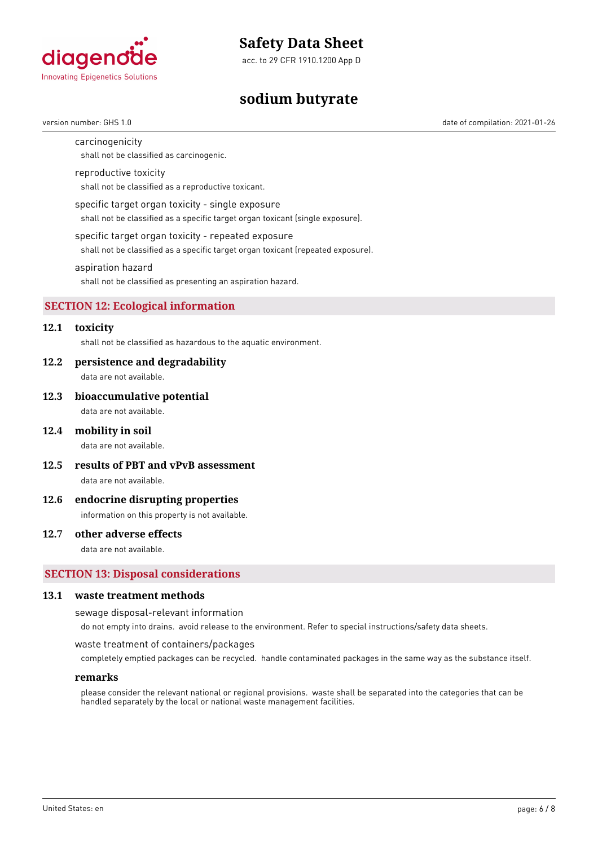

acc. to 29 CFR 1910.1200 App D

# **sodium butyrate**

#### carcinogenicity

shall not be classified as carcinogenic.

#### reproductive toxicity

shall not be classified as a reproductive toxicant.

#### specific target organ toxicity - single exposure

shall not be classified as a specific target organ toxicant (single exposure).

#### specific target organ toxicity - repeated exposure

shall not be classified as a specific target organ toxicant (repeated exposure).

#### aspiration hazard

shall not be classified as presenting an aspiration hazard.

#### **SECTION 12: Ecological information**

# **12.1 toxicity**

shall not be classified as hazardous to the aquatic environment.

#### **12.2 persistence and degradability**

data are not available.

#### **12.3 bioaccumulative potential**

data are not available.

#### **12.4 mobility in soil**

data are not available.

**12.5 results of PBT and vPvB assessment**

data are not available.

#### **12.6 endocrine disrupting properties**

information on this property is not available.

### **12.7 other adverse effects**

data are not available.

### **SECTION 13: Disposal considerations**

#### **13.1 waste treatment methods**

sewage disposal-relevant information

do not empty into drains. avoid release to the environment. Refer to special instructions/safety data sheets.

#### waste treatment of containers/packages

completely emptied packages can be recycled. handle contaminated packages in the same way as the substance itself.

#### **remarks**

please consider the relevant national or regional provisions. waste shall be separated into the categories that can be handled separately by the local or national waste management facilities.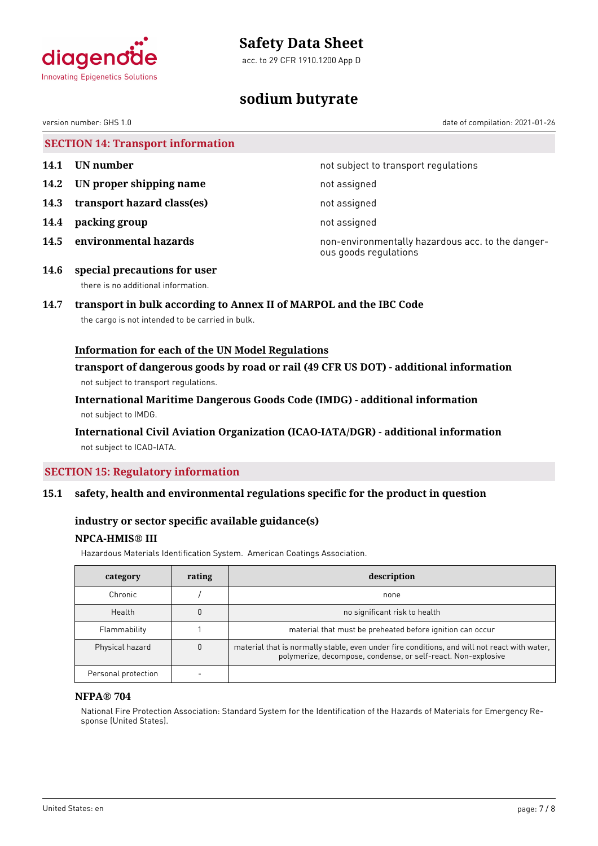

acc. to 29 CFR 1910.1200 App D



# **sodium butyrate**

date of compilation: 2021-01-26

| version number: GHS 1.0 |  |
|-------------------------|--|
|-------------------------|--|

|  | <b>SECTION 14: Transport information</b> |  |
|--|------------------------------------------|--|
|  |                                          |  |

- 
- **14.2 UN proper shipping name** not assigned
- **14.3 transport hazard class(es)** not assigned
- **14.4 packing group** not assigned
- 

**14.1 UN number 14.1 15.1 14.1 UN number not subject to transport regulations** 

**14.5 environmental hazards non-environmentally hazardous acc. to the danger**ous goods regulations

**14.6 special precautions for user** there is no additional information.

# **14.7 transport in bulk according to Annex II of MARPOL and the IBC Code**

the cargo is not intended to be carried in bulk.

# **Information for each of the UN Model Regulations**

**transport of dangerous goods by road or rail (49 CFR US DOT) - additional information** not subject to transport regulations.

**International Maritime Dangerous Goods Code (IMDG) - additional information** not subject to IMDG.

# **International Civil Aviation Organization (ICAO-IATA/DGR) - additional information** not subject to ICAO-IATA.

# **SECTION 15: Regulatory information**

# **15.1 safety, health and environmental regulations specific for the product in question**

# **industry or sector specific available guidance(s)**

# **NPCA-HMIS® III**

Hazardous Materials Identification System. American Coatings Association.

| category            | rating | description                                                                                                                                                   |
|---------------------|--------|---------------------------------------------------------------------------------------------------------------------------------------------------------------|
| Chronic             |        | none                                                                                                                                                          |
| Health              |        | no significant risk to health                                                                                                                                 |
| Flammability        |        | material that must be preheated before ignition can occur                                                                                                     |
| Physical hazard     |        | material that is normally stable, even under fire conditions, and will not react with water,<br>polymerize, decompose, condense, or self-react. Non-explosive |
| Personal protection |        |                                                                                                                                                               |

#### **NFPA® 704**

National Fire Protection Association: Standard System for the Identification of the Hazards of Materials for Emergency Response (United States).